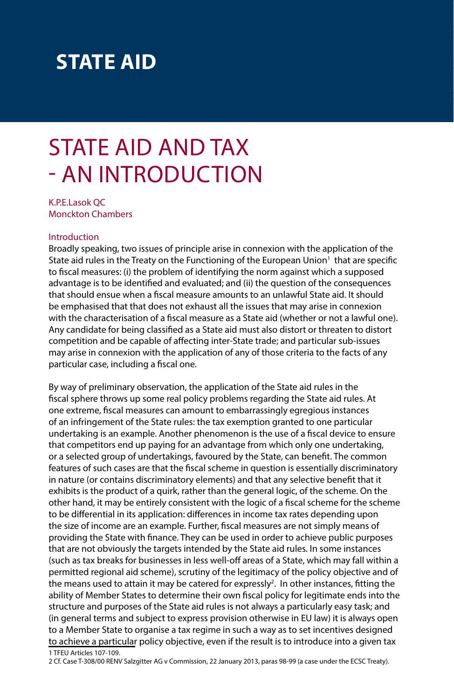## **STATE AID**

# STATE AID AND TAX - AN INTRODUCTION

K.P.E.Lasok QC Monckton Chambers

#### Introduction

Broadly speaking, two issues of principle arise in connexion with the application of the State aid rules in the Treaty on the Functioning of the European Union<sup>1</sup> that are specific to fiscal measures: (i) the problem of identifying the norm against which a supposed advantage is to be identified and evaluated; and (ii) the question of the consequences that should ensue when a fiscal measure amounts to an unlawful State aid. It should be emphasised that that does not exhaust all the issues that may arise in connexion with the characterisation of a fiscal measure as a State aid (whether or not a lawful one). Any candidate for being classified as a State aid must also distort or threaten to distort competition and be capable of affecting inter-State trade; and particular sub-issues may arise in connexion with the application of any of those criteria to the facts of any particular case, including a fiscal one.

By way of preliminary observation, the application of the State aid rules in the fiscal sphere throws up some real policy problems regarding the State aid rules. At one extreme, fiscal measures can amount to embarrassingly egregious instances of an infringement of the State rules: the tax exemption granted to one particular undertaking is an example. Another phenomenon is the use of a fiscal device to ensure that competitors end up paying for an advantage from which only one undertaking, or a selected group of undertakings, favoured by the State, can benefit. The common features of such cases are that the fiscal scheme in question is essentially discriminatory in nature (or contains discriminatory elements) and that any selective benefit that it exhibits is the product of a quirk, rather than the general logic, of the scheme. On the other hand, it may be entirely consistent with the logic of a fiscal scheme for the scheme to be differential in its application: differences in income tax rates depending upon the size of income are an example. Further, fiscal measures are not simply means of providing the State with finance. They can be used in order to achieve public purposes that are not obviously the targets intended by the State aid rules. In some instances (such as tax breaks for businesses in less well-off areas of a State, which may fall within a permitted regional aid scheme), scrutiny of the legitimacy of the policy objective and of the means used to attain it may be catered for expressly<sup>2</sup>. In other instances, fitting the ability of Member States to determine their own fiscal policy for legitimate ends into the structure and purposes of the State aid rules is not always a particularly easy task; and (in general terms and subject to express provision otherwise in EU law) it is always open to a Member State to organise a tax regime in such a way as to set incentives designed to achieve a particular policy objective, even if the result is to introduce into a given tax 1 TFEU Articles 107-109.

2 Cf. Case T-308/00 RENV Salzgitter AG v Commission, 22 January 2013, paras 98-99 (a case under the ECSC Treaty).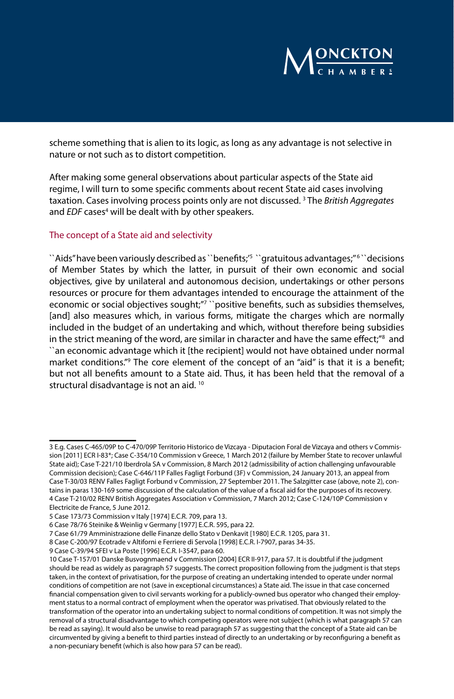

scheme something that is alien to its logic, as long as any advantage is not selective in nature or not such as to distort competition.

After making some general observations about particular aspects of the State aid regime, I will turn to some specific comments about recent State aid cases involving taxation. Cases involving process points only are not discussed. 3 The *British Aggregates*  and *EDF* cases<sup>4</sup> will be dealt with by other speakers.

#### The concept of a State aid and selectivity

``Aids" have been variously described as ``benefits;' $^5$  ``gratuitous advantages;" $^6$  ``decisions of Member States by which the latter, in pursuit of their own economic and social objectives, give by unilateral and autonomous decision, undertakings or other persons resources or procure for them advantages intended to encourage the attainment of the economic or social objectives sought;"<sup>7</sup> ``positive benefits, such as subsidies themselves, [and] also measures which, in various forms, mitigate the charges which are normally included in the budget of an undertaking and which, without therefore being subsidies in the strict meaning of the word, are similar in character and have the same effect;" $\rm ^8$  and ``an economic advantage which it [the recipient] would not have obtained under normal market conditions.''9 The core element of the concept of an "aid" is that it is a benefit; but not all benefits amount to a State aid. Thus, it has been held that the removal of a structural disadvantage is not an aid.<sup>10</sup>

<sup>3</sup> E.g. Cases C-465/09P to C-470/09P Territorio Historico de Vizcaya - Diputacion Foral de Vizcaya and others v Commission [2011] ECR I-83\*; Case C-354/10 Commission v Greece, 1 March 2012 (failure by Member State to recover unlawful State aid); Case T-221/10 Iberdrola SA v Commission, 8 March 2012 (admissibility of action challenging unfavourable Commission decision); Case C-646/11P Falles Fagligt Forbund (3F) v Commission, 24 January 2013, an appeal from Case T-30/03 RENV Falles Fagligt Forbund v Commission, 27 September 2011. The Salzgitter case (above, note 2), contains in paras 130-169 some discussion of the calculation of the value of a fiscal aid for the purposes of its recovery. 4 Case T-210/02 RENV British Aggregates Association v Commission, 7 March 2012; Case C-124/10P Commission v Electricite de France, 5 June 2012.

<sup>5</sup> Case 173/73 Commission v Italy [1974] E.C.R. 709, para 13.

<sup>6</sup> Case 78/76 Steinike & Weinlig v Germany [1977] E.C.R. 595, para 22.

<sup>7</sup> Case 61/79 Amministrazione delle Finanze dello Stato v Denkavit [1980] E.C.R. 1205, para 31.

<sup>8</sup> Case C-200/97 Ecotrade v Altiforni e Ferriere di Servola [1998] E.C.R. I-7907, paras 34-35.

<sup>9</sup> Case C-39/94 SFEI v La Poste [1996] E.C.R. I-3547, para 60.

<sup>10</sup> Case T-157/01 Danske Busvognmaend v Commission [2004] ECR II-917, para 57. It is doubtful if the judgment should be read as widely as paragraph 57 suggests. The correct proposition following from the judgment is that steps taken, in the context of privatisation, for the purpose of creating an undertaking intended to operate under normal conditions of competition are not (save in exceptional circumstances) a State aid. The issue in that case concerned financial compensation given to civil servants working for a publicly-owned bus operator who changed their employment status to a normal contract of employment when the operator was privatised. That obviously related to the transformation of the operator into an undertaking subject to normal conditions of competition. It was not simply the removal of a structural disadvantage to which competing operators were not subject (which is what paragraph 57 can be read as saying). It would also be unwise to read paragraph 57 as suggesting that the concept of a State aid can be circumvented by giving a benefit to third parties instead of directly to an undertaking or by reconfiguring a benefit as a non-pecuniary benefit (which is also how para 57 can be read).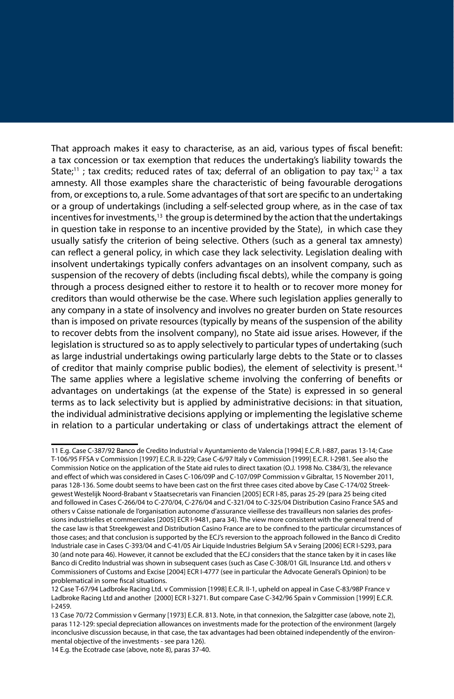That approach makes it easy to characterise, as an aid, various types of fiscal benefit: a tax concession or tax exemption that reduces the undertaking's liability towards the State;<sup>11</sup>; tax credits; reduced rates of tax; deferral of an obligation to pay tax;<sup>12</sup> a tax amnesty. All those examples share the characteristic of being favourable derogations from, or exceptions to, a rule. Some advantages of that sort are specific to an undertaking or a group of undertakings (including a self-selected group where, as in the case of tax incentives for investments,<sup>13</sup> the group is determined by the action that the undertakings in question take in response to an incentive provided by the State), in which case they usually satisfy the criterion of being selective. Others (such as a general tax amnesty) can reflect a general policy, in which case they lack selectivity. Legislation dealing with insolvent undertakings typically confers advantages on an insolvent company, such as suspension of the recovery of debts (including fiscal debts), while the company is going through a process designed either to restore it to health or to recover more money for creditors than would otherwise be the case. Where such legislation applies generally to any company in a state of insolvency and involves no greater burden on State resources than is imposed on private resources (typically by means of the suspension of the ability to recover debts from the insolvent company), no State aid issue arises. However, if the legislation is structured so as to apply selectively to particular types of undertaking (such as large industrial undertakings owing particularly large debts to the State or to classes of creditor that mainly comprise public bodies), the element of selectivity is present.14 The same applies where a legislative scheme involving the conferring of benefits or advantages on undertakings (at the expense of the State) is expressed in so general terms as to lack selectivity but is applied by administrative decisions: in that situation, the individual administrative decisions applying or implementing the legislative scheme in relation to a particular undertaking or class of undertakings attract the element of

<sup>11</sup> E.g. Case C-387/92 Banco de Credito Industrial v Ayuntamiento de Valencia [1994] E.C.R. I-887, paras 13-14; Case T-106/95 FFSA v Commission [1997] E.C.R. II-229; Case C-6/97 Italy v Commission [1999] E.C.R. I-2981. See also the Commission Notice on the application of the State aid rules to direct taxation (O.J. 1998 No. C384/3), the relevance and effect of which was considered in Cases C-106/09P and C-107/09P Commission v Gibraltar, 15 November 2011, paras 128-136. Some doubt seems to have been cast on the first three cases cited above by Case C-174/02 Streekgewest Westelijk Noord-Brabant v Staatsecretaris van Financien [2005] ECR I-85, paras 25-29 (para 25 being cited and followed in Cases C-266/04 to C-270/04, C-276/04 and C-321/04 to C-325/04 Distribution Casino France SAS and others v Caisse nationale de l'organisation autonome d'assurance vieillesse des travailleurs non salaries des professions industrielles et commerciales [2005] ECR I-9481, para 34). The view more consistent with the general trend of the case law is that Streekgewest and Distribution Casino France are to be confined to the particular circumstances of those cases; and that conclusion is supported by the ECJ's reversion to the approach followed in the Banco di Credito Industriale case in Cases C-393/04 and C-41/05 Air Liquide Industries Belgium SA v Seraing [2006] ECR I-5293, para 30 (and note para 46). However, it cannot be excluded that the ECJ considers that the stance taken by it in cases like Banco di Credito Industrial was shown in subsequent cases (such as Case C-308/01 GIL Insurance Ltd. and others v Commissioners of Customs and Excise [2004] ECR I-4777 (see in particular the Advocate General's Opinion) to be problematical in some fiscal situations.

<sup>12</sup> Case T-67/94 Ladbroke Racing Ltd. v Commission [1998] E.C.R. II-1, upheld on appeal in Case C-83/98P France v Ladbroke Racing Ltd and another [2000] ECR I-3271. But compare Case C-342/96 Spain v Commission [1999] E.C.R. I-2459.

<sup>13</sup> Case 70/72 Commission v Germany [1973] E.C.R. 813. Note, in that connexion, the Salzgitter case (above, note 2), paras 112-129: special depreciation allowances on investments made for the protection of the environment (largely inconclusive discussion because, in that case, the tax advantages had been obtained independently of the environmental objective of the investments - see para 126).

<sup>14</sup> E.g. the Ecotrade case (above, note 8), paras 37-40.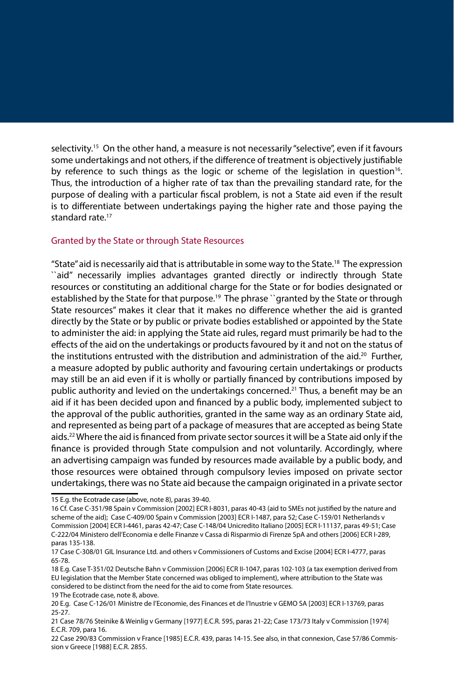selectivity.<sup>15</sup> On the other hand, a measure is not necessarily "selective", even if it favours some undertakings and not others, if the difference of treatment is objectively justifiable by reference to such things as the logic or scheme of the legislation in question<sup>16</sup>. Thus, the introduction of a higher rate of tax than the prevailing standard rate, for the purpose of dealing with a particular fiscal problem, is not a State aid even if the result is to differentiate between undertakings paying the higher rate and those paying the standard rate.<sup>17</sup>

#### Granted by the State or through State Resources

"State" aid is necessarily aid that is attributable in some way to the State.18 The expression ``aid'' necessarily implies advantages granted directly or indirectly through State resources or constituting an additional charge for the State or for bodies designated or established by the State for that purpose.<sup>19</sup> The phrase "granted by the State or through State resources'' makes it clear that it makes no difference whether the aid is granted directly by the State or by public or private bodies established or appointed by the State to administer the aid: in applying the State aid rules, regard must primarily be had to the effects of the aid on the undertakings or products favoured by it and not on the status of the institutions entrusted with the distribution and administration of the aid.<sup>20</sup> Further, a measure adopted by public authority and favouring certain undertakings or products may still be an aid even if it is wholly or partially financed by contributions imposed by public authority and levied on the undertakings concerned.<sup>21</sup> Thus, a benefit may be an aid if it has been decided upon and financed by a public body, implemented subject to the approval of the public authorities, granted in the same way as an ordinary State aid, and represented as being part of a package of measures that are accepted as being State aids.22 Where the aid is financed from private sector sources it will be a State aid only if the finance is provided through State compulsion and not voluntarily. Accordingly, where an advertising campaign was funded by resources made available by a public body, and those resources were obtained through compulsory levies imposed on private sector undertakings, there was no State aid because the campaign originated in a private sector

<sup>15</sup> E.g. the Ecotrade case (above, note 8), paras 39-40.

<sup>16</sup> Cf. Case C-351/98 Spain v Commission [2002] ECR I-8031, paras 40-43 (aid to SMEs not justified by the nature and scheme of the aid); Case C-409/00 Spain v Commission [2003] ECR I-1487, para 52; Case C-159/01 Netherlands v Commission [2004] ECR I-4461, paras 42-47; Case C-148/04 Unicredito Italiano [2005] ECR I-11137, paras 49-51; Case C-222/04 Ministero dell'Economia e delle Finanze v Cassa di Risparmio di Firenze SpA and others [2006] ECR I-289, paras 135-138.

<sup>17</sup> Case C-308/01 GIL Insurance Ltd. and others v Commissioners of Customs and Excise [2004] ECR I-4777, paras 65-78.

<sup>18</sup> E.g. Case T-351/02 Deutsche Bahn v Commission [2006] ECR II-1047, paras 102-103 (a tax exemption derived from EU legislation that the Member State concerned was obliged to implement), where attribution to the State was considered to be distinct from the need for the aid to come from State resources.

<sup>19</sup> The Ecotrade case, note 8, above.

<sup>20</sup> E.g. Case C-126/01 Ministre de l'Economie, des Finances et de l'Inustrie v GEMO SA [2003] ECR I-13769, paras 25-27.

<sup>21</sup> Case 78/76 Steinike & Weinlig v Germany [1977] E.C.R. 595, paras 21-22; Case 173/73 Italy v Commission [1974] E.C.R. 709, para 16.

<sup>22</sup> Case 290/83 Commission v France [1985] E.C.R. 439, paras 14-15. See also, in that connexion, Case 57/86 Commission v Greece [1988] E.C.R. 2855.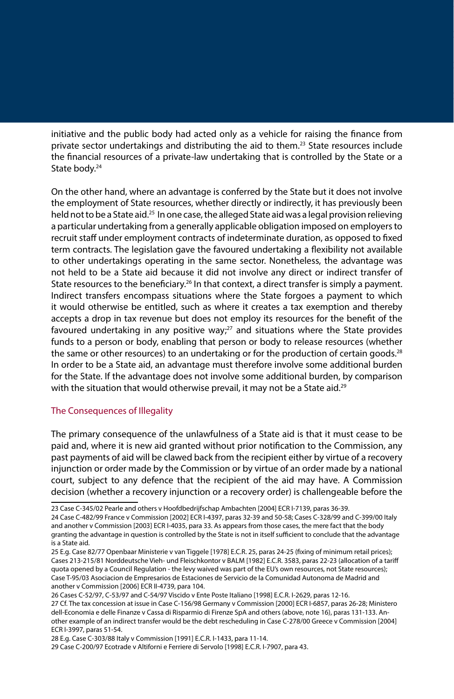initiative and the public body had acted only as a vehicle for raising the finance from private sector undertakings and distributing the aid to them.23 State resources include the financial resources of a private-law undertaking that is controlled by the State or a State body.<sup>24</sup>

On the other hand, where an advantage is conferred by the State but it does not involve the employment of State resources, whether directly or indirectly, it has previously been held not to be a State aid.<sup>25</sup> In one case, the alleged State aid was a legal provision relieving a particular undertaking from a generally applicable obligation imposed on employers to recruit staff under employment contracts of indeterminate duration, as opposed to fixed term contracts. The legislation gave the favoured undertaking a flexibility not available to other undertakings operating in the same sector. Nonetheless, the advantage was not held to be a State aid because it did not involve any direct or indirect transfer of State resources to the beneficiary.<sup>26</sup> In that context, a direct transfer is simply a payment. Indirect transfers encompass situations where the State forgoes a payment to which it would otherwise be entitled, such as where it creates a tax exemption and thereby accepts a drop in tax revenue but does not employ its resources for the benefit of the favoured undertaking in any positive way; $^{27}$  and situations where the State provides funds to a person or body, enabling that person or body to release resources (whether the same or other resources) to an undertaking or for the production of certain goods.<sup>28</sup> In order to be a State aid, an advantage must therefore involve some additional burden for the State. If the advantage does not involve some additional burden, by comparison with the situation that would otherwise prevail, it may not be a State aid.<sup>29</sup>

#### The Consequences of Illegality

The primary consequence of the unlawfulness of a State aid is that it must cease to be paid and, where it is new aid granted without prior notification to the Commission, any past payments of aid will be clawed back from the recipient either by virtue of a recovery injunction or order made by the Commission or by virtue of an order made by a national court, subject to any defence that the recipient of the aid may have. A Commission decision (whether a recovery injunction or a recovery order) is challengeable before the

26 Cases C-52/97, C-53/97 and C-54/97 Viscido v Ente Poste Italiano [1998] E.C.R. I-2629, paras 12-16.

<sup>23</sup> Case C-345/02 Pearle and others v Hoofdbedrijfschap Ambachten [2004] ECR I-7139, paras 36-39.

<sup>24</sup> Case C-482/99 France v Commission [2002] ECR I-4397, paras 32-39 and 50-58; Cases C-328/99 and C-399/00 Italy and another v Commission [2003] ECR I-4035, para 33. As appears from those cases, the mere fact that the body granting the advantage in question is controlled by the State is not in itself sufficient to conclude that the advantage is a State aid.

<sup>25</sup> E.g. Case 82/77 Openbaar Ministerie v van Tiggele [1978] E.C.R. 25, paras 24-25 (fixing of minimum retail prices); Cases 213-215/81 Norddeutsche Vieh- und Fleischkontor v BALM [1982] E.C.R. 3583, paras 22-23 (allocation of a tariff quota opened by a Council Regulation - the levy waived was part of the EU's own resources, not State resources); Case T-95/03 Asociacion de Empresarios de Estaciones de Servicio de la Comunidad Autonoma de Madrid and another v Commission [2006] ECR II-4739, para 104.

<sup>27</sup> Cf. The tax concession at issue in Case C-156/98 Germany v Commission [2000] ECR I-6857, paras 26-28; Ministero dell-Economia e delle Finanze v Cassa di Risparmio di Firenze SpA and others (above, note 16), paras 131-133. Another example of an indirect transfer would be the debt rescheduling in Case C-278/00 Greece v Commission [2004] ECR I-3997, paras 51-54.

<sup>28</sup> E.g. Case C-303/88 Italy v Commission [1991] E.C.R. I-1433, para 11-14.

<sup>29</sup> Case C-200/97 Ecotrade v Altiforni e Ferriere di Servolo [1998] E.C.R. I-7907, para 43.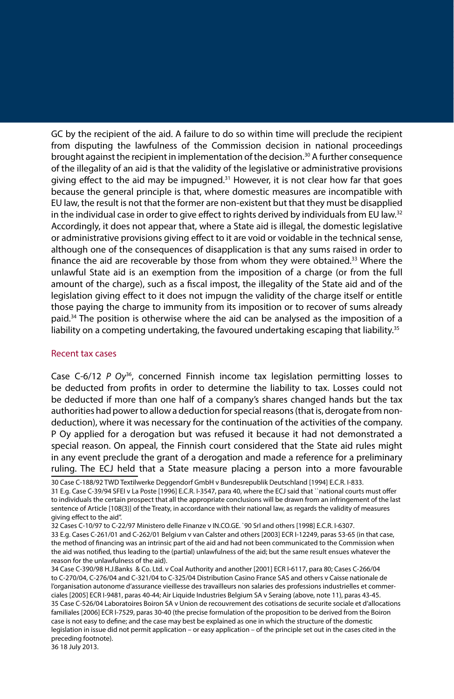GC by the recipient of the aid. A failure to do so within time will preclude the recipient from disputing the lawfulness of the Commission decision in national proceedings brought against the recipient in implementation of the decision. $30$  A further consequence of the illegality of an aid is that the validity of the legislative or administrative provisions giving effect to the aid may be impugned. $31$  However, it is not clear how far that goes because the general principle is that, where domestic measures are incompatible with EU law, the result is not that the former are non-existent but that they must be disapplied in the individual case in order to give effect to rights derived by individuals from EU law. $32$ Accordingly, it does not appear that, where a State aid is illegal, the domestic legislative or administrative provisions giving effect to it are void or voidable in the technical sense, although one of the consequences of disapplication is that any sums raised in order to finance the aid are recoverable by those from whom they were obtained.<sup>33</sup> Where the unlawful State aid is an exemption from the imposition of a charge (or from the full amount of the charge), such as a fiscal impost, the illegality of the State aid and of the legislation giving effect to it does not impugn the validity of the charge itself or entitle those paying the charge to immunity from its imposition or to recover of sums already paid.<sup>34</sup> The position is otherwise where the aid can be analysed as the imposition of a liability on a competing undertaking, the favoured undertaking escaping that liability.<sup>35</sup>

#### Recent tax cases

Case C-6/12 *P Oy*36, concerned Finnish income tax legislation permitting losses to be deducted from profits in order to determine the liability to tax. Losses could not be deducted if more than one half of a company's shares changed hands but the tax authorities had power to allow a deduction for special reasons (that is, derogate from nondeduction), where it was necessary for the continuation of the activities of the company. P Oy applied for a derogation but was refused it because it had not demonstrated a special reason. On appeal, the Finnish court considered that the State aid rules might in any event preclude the grant of a derogation and made a reference for a preliminary ruling. The ECJ held that a State measure placing a person into a more favourable

31 E.g. Case C-39/94 SFEI v La Poste [1996] E.C.R. I-3547, para 40, where the ECJ said that ``national courts must offer to individuals the certain prospect that all the appropriate conclusions will be drawn from an infringement of the last sentence of Article [108(3)] of the Treaty, in accordance with their national law, as regards the validity of measures giving effect to the aid''.

32 Cases C-10/97 to C-22/97 Ministero delle Finanze v IN.CO.GE. `90 Srl and others [1998] E.C.R. I-6307.

33 E.g. Cases C-261/01 and C-262/01 Belgium v van Calster and others [2003] ECR I-12249, paras 53-65 (in that case, the method of financing was an intrinsic part of the aid and had not been communicated to the Commission when the aid was notified, thus leading to the (partial) unlawfulness of the aid; but the same result ensues whatever the reason for the unlawfulness of the aid).

34 Case C-390/98 H.J.Banks & Co. Ltd. v Coal Authority and another [2001] ECR I-6117, para 80; Cases C-266/04 to C-270/04, C-276/04 and C-321/04 to C-325/04 Distribution Casino France SAS and others v Caisse nationale de l'organisation autonome d'assurance vieillesse des travailleurs non salaries des professions industrielles et commerciales [2005] ECR I-9481, paras 40-44; Air Liquide Industries Belgium SA v Seraing (above, note 11), paras 43-45. 35 Case C-526/04 Laboratoires Boiron SA v Union de recouvrement des cotisations de securite sociale et d'allocations familiales [2006] ECR I-7529, paras 30-40 (the precise formulation of the proposition to be derived from the Boiron case is not easy to define; and the case may best be explained as one in which the structure of the domestic legislation in issue did not permit application – or easy application – of the principle set out in the cases cited in the preceding footnote).

36 18 July 2013.

<sup>30</sup> Case C-188/92 TWD Textilwerke Deggendorf GmbH v Bundesrepublik Deutschland [1994] E.C.R. I-833.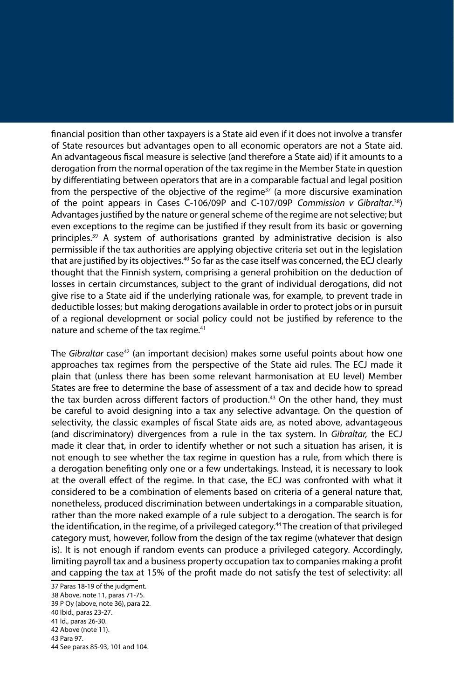financial position than other taxpayers is a State aid even if it does not involve a transfer of State resources but advantages open to all economic operators are not a State aid. An advantageous fiscal measure is selective (and therefore a State aid) if it amounts to a derogation from the normal operation of the tax regime in the Member State in question by differentiating between operators that are in a comparable factual and legal position from the perspective of the objective of the regime<sup>37</sup> (a more discursive examination of the point appears in Cases C-106/09P and C-107/09P *Commission v Gibraltar*. 38) Advantages justified by the nature or general scheme of the regime are not selective; but even exceptions to the regime can be justified if they result from its basic or governing principles.39 A system of authorisations granted by administrative decision is also permissible if the tax authorities are applying objective criteria set out in the legislation that are justified by its objectives.<sup>40</sup> So far as the case itself was concerned, the ECJ clearly thought that the Finnish system, comprising a general prohibition on the deduction of losses in certain circumstances, subject to the grant of individual derogations, did not give rise to a State aid if the underlying rationale was, for example, to prevent trade in deductible losses; but making derogations available in order to protect jobs or in pursuit of a regional development or social policy could not be justified by reference to the nature and scheme of the tax regime.<sup>41</sup>

The *Gibraltar* case42 (an important decision) makes some useful points about how one approaches tax regimes from the perspective of the State aid rules. The ECJ made it plain that (unless there has been some relevant harmonisation at EU level) Member States are free to determine the base of assessment of a tax and decide how to spread the tax burden across different factors of production.<sup>43</sup> On the other hand, they must be careful to avoid designing into a tax any selective advantage. On the question of selectivity, the classic examples of fiscal State aids are, as noted above, advantageous (and discriminatory) divergences from a rule in the tax system. In *Gibraltar,* the ECJ made it clear that, in order to identify whether or not such a situation has arisen, it is not enough to see whether the tax regime in question has a rule, from which there is a derogation benefiting only one or a few undertakings. Instead, it is necessary to look at the overall effect of the regime. In that case, the ECJ was confronted with what it considered to be a combination of elements based on criteria of a general nature that, nonetheless, produced discrimination between undertakings in a comparable situation, rather than the more naked example of a rule subject to a derogation. The search is for the identification, in the regime, of a privileged category.<sup>44</sup> The creation of that privileged category must, however, follow from the design of the tax regime (whatever that design is). It is not enough if random events can produce a privileged category. Accordingly, limiting payroll tax and a business property occupation tax to companies making a profit and capping the tax at 15% of the profit made do not satisfy the test of selectivity: all

<sup>37</sup> Paras 18-19 of the judgment.

<sup>38</sup> Above, note 11, paras 71-75.

<sup>39</sup> P Oy (above, note 36), para 22.

<sup>40</sup> Ibid., paras 23-27.

<sup>41</sup> Id., paras 26-30.

<sup>42</sup> Above (note 11).

<sup>43</sup> Para 97.

<sup>44</sup> See paras 85-93, 101 and 104.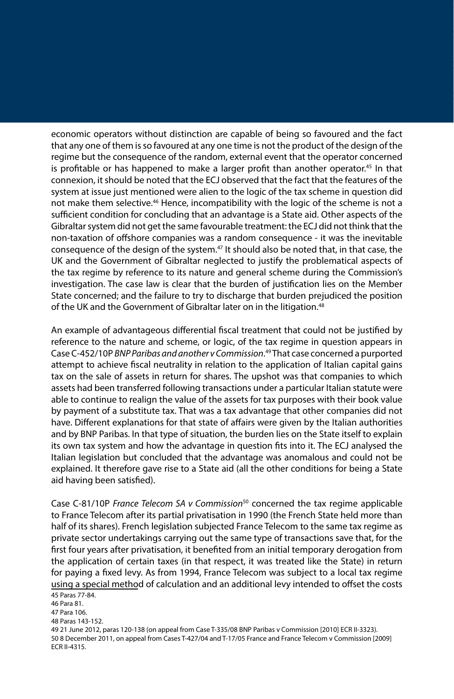economic operators without distinction are capable of being so favoured and the fact that any one of them is so favoured at any one time is not the product of the design of the regime but the consequence of the random, external event that the operator concerned is profitable or has happened to make a larger profit than another operator.<sup>45</sup> In that connexion, it should be noted that the ECJ observed that the fact that the features of the system at issue just mentioned were alien to the logic of the tax scheme in question did not make them selective.<sup>46</sup> Hence, incompatibility with the logic of the scheme is not a sufficient condition for concluding that an advantage is a State aid. Other aspects of the Gibraltar system did not get the same favourable treatment: the ECJ did not think that the non-taxation of offshore companies was a random consequence - it was the inevitable consequence of the design of the system.<sup>47</sup> It should also be noted that, in that case, the UK and the Government of Gibraltar neglected to justify the problematical aspects of the tax regime by reference to its nature and general scheme during the Commission's investigation. The case law is clear that the burden of justification lies on the Member State concerned; and the failure to try to discharge that burden prejudiced the position of the UK and the Government of Gibraltar later on in the litigation.<sup>48</sup>

An example of advantageous differential fiscal treatment that could not be justified by reference to the nature and scheme, or logic, of the tax regime in question appears in Case C-452/10P *BNP Paribas and another v Commission*. 49 That case concerned a purported attempt to achieve fiscal neutrality in relation to the application of Italian capital gains tax on the sale of assets in return for shares. The upshot was that companies to which assets had been transferred following transactions under a particular Italian statute were able to continue to realign the value of the assets for tax purposes with their book value by payment of a substitute tax. That was a tax advantage that other companies did not have. Different explanations for that state of affairs were given by the Italian authorities and by BNP Paribas. In that type of situation, the burden lies on the State itself to explain its own tax system and how the advantage in question fits into it. The ECJ analysed the Italian legislation but concluded that the advantage was anomalous and could not be explained. It therefore gave rise to a State aid (all the other conditions for being a State aid having been satisfied).

Case C-81/10P *France Telecom SA v Commission*50 concerned the tax regime applicable to France Telecom after its partial privatisation in 1990 (the French State held more than half of its shares). French legislation subjected France Telecom to the same tax regime as private sector undertakings carrying out the same type of transactions save that, for the first four years after privatisation, it benefited from an initial temporary derogation from the application of certain taxes (in that respect, it was treated like the State) in return for paying a fixed levy. As from 1994, France Telecom was subject to a local tax regime using a special method of calculation and an additional levy intended to offset the costs

45 Paras 77-84. 46 Para 81. 47 Para 106. 48 Paras 143-152.

49 21 June 2012, paras 120-138 (on appeal from Case T-335/08 BNP Paribas v Commission [2010] ECR II-3323). 50 8 December 2011, on appeal from Cases T-427/04 and T-17/05 France and France Telecom v Commission [2009] ECR II-4315.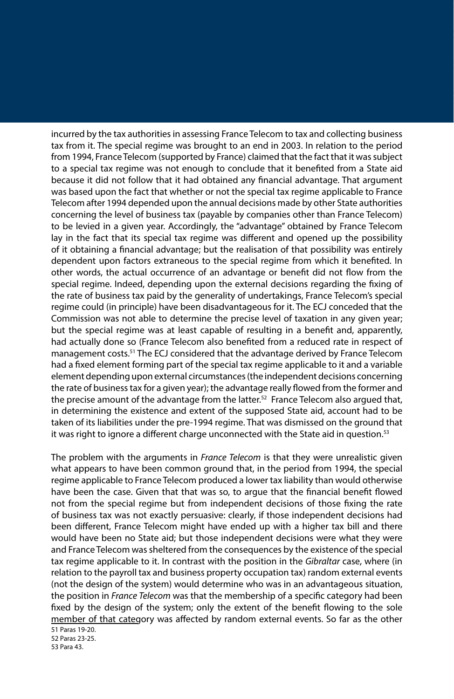incurred by the tax authorities in assessing France Telecom to tax and collecting business tax from it. The special regime was brought to an end in 2003. In relation to the period from 1994, France Telecom (supported by France) claimed that the fact that it was subject to a special tax regime was not enough to conclude that it benefited from a State aid because it did not follow that it had obtained any financial advantage. That argument was based upon the fact that whether or not the special tax regime applicable to France Telecom after 1994 depended upon the annual decisions made by other State authorities concerning the level of business tax (payable by companies other than France Telecom) to be levied in a given year. Accordingly, the "advantage" obtained by France Telecom lay in the fact that its special tax regime was different and opened up the possibility of it obtaining a financial advantage; but the realisation of that possibility was entirely dependent upon factors extraneous to the special regime from which it benefited. In other words, the actual occurrence of an advantage or benefit did not flow from the special regime. Indeed, depending upon the external decisions regarding the fixing of the rate of business tax paid by the generality of undertakings, France Telecom's special regime could (in principle) have been disadvantageous for it. The ECJ conceded that the Commission was not able to determine the precise level of taxation in any given year; but the special regime was at least capable of resulting in a benefit and, apparently, had actually done so (France Telecom also benefited from a reduced rate in respect of management costs.<sup>51</sup> The ECJ considered that the advantage derived by France Telecom had a fixed element forming part of the special tax regime applicable to it and a variable element depending upon external circumstances (the independent decisions concerning the rate of business tax for a given year); the advantage really flowed from the former and the precise amount of the advantage from the latter.<sup>52</sup> France Telecom also argued that, in determining the existence and extent of the supposed State aid, account had to be taken of its liabilities under the pre-1994 regime. That was dismissed on the ground that it was right to ignore a different charge unconnected with the State aid in question.<sup>53</sup>

The problem with the arguments in *France Telecom* is that they were unrealistic given what appears to have been common ground that, in the period from 1994, the special regime applicable to France Telecom produced a lower tax liability than would otherwise have been the case. Given that that was so, to argue that the financial benefit flowed not from the special regime but from independent decisions of those fixing the rate of business tax was not exactly persuasive: clearly, if those independent decisions had been different, France Telecom might have ended up with a higher tax bill and there would have been no State aid; but those independent decisions were what they were and France Telecom was sheltered from the consequences by the existence of the special tax regime applicable to it. In contrast with the position in the *Gibraltar* case, where (in relation to the payroll tax and business property occupation tax) random external events (not the design of the system) would determine who was in an advantageous situation, the position in *France Telecom* was that the membership of a specific category had been fixed by the design of the system; only the extent of the benefit flowing to the sole member of that category was affected by random external events. So far as the other

<sup>51</sup> Paras 19-20. 52 Paras 23-25. 53 Para 43.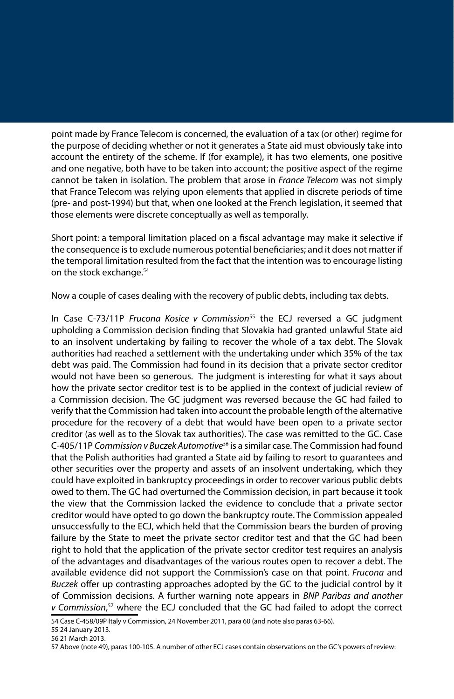point made by France Telecom is concerned, the evaluation of a tax (or other) regime for the purpose of deciding whether or not it generates a State aid must obviously take into account the entirety of the scheme. If (for example), it has two elements, one positive and one negative, both have to be taken into account; the positive aspect of the regime cannot be taken in isolation. The problem that arose in *France Telecom* was not simply that France Telecom was relying upon elements that applied in discrete periods of time (pre- and post-1994) but that, when one looked at the French legislation, it seemed that those elements were discrete conceptually as well as temporally.

Short point: a temporal limitation placed on a fiscal advantage may make it selective if the consequence is to exclude numerous potential beneficiaries; and it does not matter if the temporal limitation resulted from the fact that the intention was to encourage listing on the stock exchange.54

Now a couple of cases dealing with the recovery of public debts, including tax debts.

In Case C-73/11P *Frucona Kosice v Commission*55 the ECJ reversed a GC judgment upholding a Commission decision finding that Slovakia had granted unlawful State aid to an insolvent undertaking by failing to recover the whole of a tax debt. The Slovak authorities had reached a settlement with the undertaking under which 35% of the tax debt was paid. The Commission had found in its decision that a private sector creditor would not have been so generous. The judgment is interesting for what it says about how the private sector creditor test is to be applied in the context of judicial review of a Commission decision. The GC judgment was reversed because the GC had failed to verify that the Commission had taken into account the probable length of the alternative procedure for the recovery of a debt that would have been open to a private sector creditor (as well as to the Slovak tax authorities). The case was remitted to the GC. Case C-405/11P *Commission v Buczek Automotive56* is a similar case. The Commission had found that the Polish authorities had granted a State aid by failing to resort to guarantees and other securities over the property and assets of an insolvent undertaking, which they could have exploited in bankruptcy proceedings in order to recover various public debts owed to them. The GC had overturned the Commission decision, in part because it took the view that the Commission lacked the evidence to conclude that a private sector creditor would have opted to go down the bankruptcy route. The Commission appealed unsuccessfully to the ECJ, which held that the Commission bears the burden of proving failure by the State to meet the private sector creditor test and that the GC had been right to hold that the application of the private sector creditor test requires an analysis of the advantages and disadvantages of the various routes open to recover a debt. The available evidence did not support the Commission's case on that point. *Frucona* and *Buczek* offer up contrasting approaches adopted by the GC to the judicial control by it of Commission decisions. A further warning note appears in *BNP Paribas and another v Commission*, 57 where the ECJ concluded that the GC had failed to adopt the correct

54 Case C-458/09P Italy v Commission, 24 November 2011, para 60 (and note also paras 63-66).

55 24 January 2013.

56 21 March 2013.

57 Above (note 49), paras 100-105. A number of other ECJ cases contain observations on the GC's powers of review: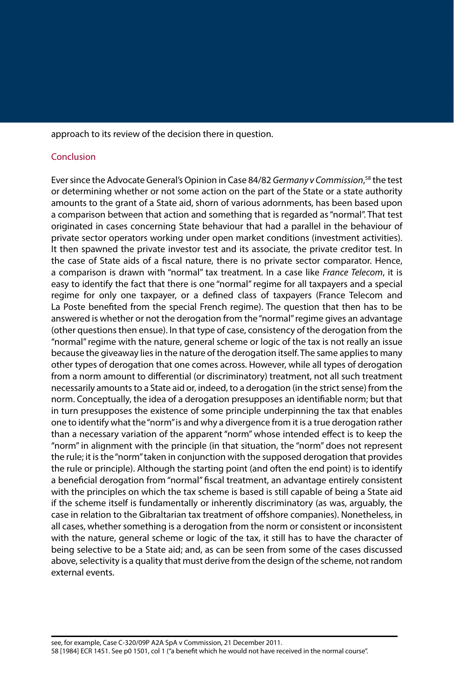approach to its review of the decision there in question.

### Conclusion

Ever since the Advocate General's Opinion in Case 84/82 *Germany v Commission*, 58 the test or determining whether or not some action on the part of the State or a state authority amounts to the grant of a State aid, shorn of various adornments, has been based upon a comparison between that action and something that is regarded as "normal". That test originated in cases concerning State behaviour that had a parallel in the behaviour of private sector operators working under open market conditions (investment activities). It then spawned the private investor test and its associate, the private creditor test. In the case of State aids of a fiscal nature, there is no private sector comparator. Hence, a comparison is drawn with "normal" tax treatment. In a case like *France Telecom*, it is easy to identify the fact that there is one "normal" regime for all taxpayers and a special regime for only one taxpayer, or a defined class of taxpayers (France Telecom and La Poste benefited from the special French regime). The question that then has to be answered is whether or not the derogation from the "normal" regime gives an advantage (other questions then ensue). In that type of case, consistency of the derogation from the "normal" regime with the nature, general scheme or logic of the tax is not really an issue because the giveaway lies in the nature of the derogation itself. The same applies to many other types of derogation that one comes across. However, while all types of derogation from a norm amount to differential (or discriminatory) treatment, not all such treatment necessarily amounts to a State aid or, indeed, to a derogation (in the strict sense) from the norm. Conceptually, the idea of a derogation presupposes an identifiable norm; but that in turn presupposes the existence of some principle underpinning the tax that enables one to identify what the "norm" is and why a divergence from it is a true derogation rather than a necessary variation of the apparent "norm" whose intended effect is to keep the "norm" in alignment with the principle (in that situation, the "norm" does not represent the rule; it is the "norm" taken in conjunction with the supposed derogation that provides the rule or principle). Although the starting point (and often the end point) is to identify a beneficial derogation from "normal" fiscal treatment, an advantage entirely consistent with the principles on which the tax scheme is based is still capable of being a State aid if the scheme itself is fundamentally or inherently discriminatory (as was, arguably, the case in relation to the Gibraltarian tax treatment of offshore companies). Nonetheless, in all cases, whether something is a derogation from the norm or consistent or inconsistent with the nature, general scheme or logic of the tax, it still has to have the character of being selective to be a State aid; and, as can be seen from some of the cases discussed above, selectivity is a quality that must derive from the design of the scheme, not random external events.

see, for example, Case C-320/09P A2A SpA v Commission, 21 December 2011. 58 [1984] ECR 1451. See p0 1501, col 1 ("a benefit which he would not have received in the normal course".